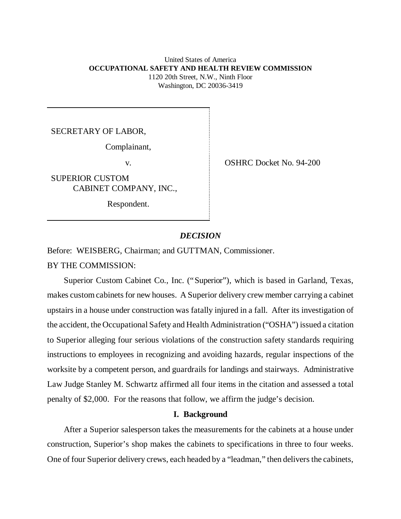United States of America **OCCUPATIONAL SAFETY AND HEALTH REVIEW COMMISSION** 1120 20th Street, N.W., Ninth Floor Washington, DC 20036-3419

SECRETARY OF LABOR,

Complainant,

SUPERIOR CUSTOM CABINET COMPANY, INC.,

Respondent.

v. COSHRC Docket No. 94-200

### *DECISION*

Before: WEISBERG, Chairman; and GUTTMAN, Commissioner.

BY THE COMMISSION:

Superior Custom Cabinet Co., Inc. ("Superior"), which is based in Garland, Texas, makes custom cabinets for new houses. A Superior delivery crew member carrying a cabinet upstairs in a house under construction was fatally injured in a fall. After its investigation of the accident, the Occupational Safety and Health Administration ("OSHA") issued a citation to Superior alleging four serious violations of the construction safety standards requiring instructions to employees in recognizing and avoiding hazards, regular inspections of the worksite by a competent person, and guardrails for landings and stairways. Administrative Law Judge Stanley M. Schwartz affirmed all four items in the citation and assessed a total penalty of \$2,000. For the reasons that follow, we affirm the judge's decision.

## **I. Background**

After a Superior salesperson takes the measurements for the cabinets at a house under construction, Superior's shop makes the cabinets to specifications in three to four weeks. One of four Superior delivery crews, each headed by a "leadman," then delivers the cabinets,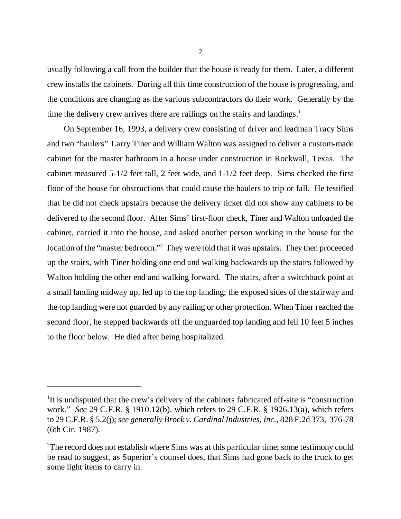usually following a call from the builder that the house is ready for them. Later, a different crew installs the cabinets. During all this time construction of the house is progressing, and the conditions are changing as the various subcontractors do their work. Generally by the time the delivery crew arrives there are railings on the stairs and landings.<sup>1</sup>

On September 16, 1993, a delivery crew consisting of driver and leadman Tracy Sims and two "haulers" Larry Tiner and William Walton was assigned to deliver a custom-made cabinet for the master bathroom in a house under construction in Rockwall, Texas. The cabinet measured 5-1/2 feet tall, 2 feet wide, and 1-1/2 feet deep. Sims checked the first floor of the house for obstructions that could cause the haulers to trip or fall. He testified that he did not check upstairs because the delivery ticket did not show any cabinets to be delivered to the second floor. After Sims' first-floor check, Tiner and Walton unloaded the cabinet, carried it into the house, and asked another person working in the house for the location of the "master bedroom."<sup>2</sup> They were told that it was upstairs. They then proceeded up the stairs, with Tiner holding one end and walking backwards up the stairs followed by Walton holding the other end and walking forward. The stairs, after a switchback point at a small landing midway up, led up to the top landing; the exposed sides of the stairway and the top landing were not guarded by any railing or other protection. When Tiner reached the second floor, he stepped backwards off the unguarded top landing and fell 10 feet 5 inches to the floor below. He died after being hospitalized.

<sup>&</sup>lt;sup>1</sup>It is undisputed that the crew's delivery of the cabinets fabricated off-site is "construction" work." *See* 29 C.F.R. § 1910.12(b), which refers to 29 C.F.R. § 1926.13(a), which refers to 29 C.F.R. § 5.2(j); *see generally Brock v. Cardinal Industries, Inc.*, 828 F.2d 373, 376-78 (6th Cir. 1987).

<sup>&</sup>lt;sup>2</sup>The record does not establish where Sims was at this particular time; some testimony could be read to suggest, as Superior's counsel does, that Sims had gone back to the truck to get some light items to carry in.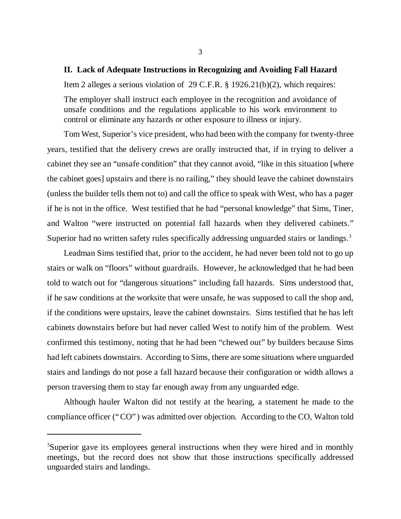### **II. Lack of Adequate Instructions in Recognizing and Avoiding Fall Hazard**

Item 2 alleges a serious violation of 29 C.F.R. § 1926.21(b)(2), which requires: The employer shall instruct each employee in the recognition and avoidance of unsafe conditions and the regulations applicable to his work environment to control or eliminate any hazards or other exposure to illness or injury.

Tom West, Superior's vice president, who had been with the company for twenty-three years, testified that the delivery crews are orally instructed that, if in trying to deliver a cabinet they see an "unsafe condition" that they cannot avoid, "like in this situation [where the cabinet goes] upstairs and there is no railing," they should leave the cabinet downstairs (unless the builder tells them not to) and call the office to speak with West, who has a pager if he is not in the office. West testified that he had "personal knowledge" that Sims, Tiner, and Walton "were instructed on potential fall hazards when they delivered cabinets." Superior had no written safety rules specifically addressing unguarded stairs or landings.<sup>3</sup>

Leadman Sims testified that, prior to the accident, he had never been told not to go up stairs or walk on "floors" without guardrails. However, he acknowledged that he had been told to watch out for "dangerous situations" including fall hazards. Sims understood that, if he saw conditions at the worksite that were unsafe, he was supposed to call the shop and, if the conditions were upstairs, leave the cabinet downstairs. Sims testified that he has left cabinets downstairs before but had never called West to notify him of the problem. West confirmed this testimony, noting that he had been "chewed out" by builders because Sims had left cabinets downstairs. According to Sims, there are some situations where unguarded stairs and landings do not pose a fall hazard because their configuration or width allows a person traversing them to stay far enough away from any unguarded edge.

Although hauler Walton did not testify at the hearing, a statement he made to the compliance officer ("CO") was admitted over objection. According to the CO, Walton told

<sup>&</sup>lt;sup>3</sup>Superior gave its employees general instructions when they were hired and in monthly meetings, but the record does not show that those instructions specifically addressed unguarded stairs and landings.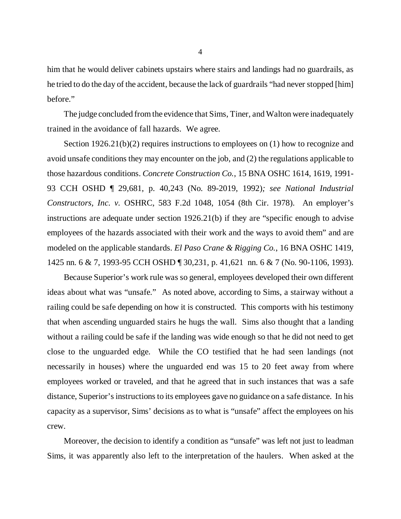him that he would deliver cabinets upstairs where stairs and landings had no guardrails, as he tried to do the day of the accident, because the lack of guardrails "had never stopped [him] before."

The judge concluded from the evidence that Sims, Tiner, and Walton were inadequately trained in the avoidance of fall hazards. We agree.

Section 1926.21(b)(2) requires instructions to employees on (1) how to recognize and avoid unsafe conditions they may encounter on the job, and (2) the regulations applicable to those hazardous conditions. *Concrete Construction Co.*, 15 BNA OSHC 1614, 1619, 1991- 93 CCH OSHD ¶ 29,681, p. 40,243 (No. 89-2019, 1992)*; see National Industrial Constructors, Inc. v.* OSHRC, 583 F.2d 1048, 1054 (8th Cir. 1978). An employer's instructions are adequate under section 1926.21(b) if they are "specific enough to advise employees of the hazards associated with their work and the ways to avoid them" and are modeled on the applicable standards. *El Paso Crane & Rigging Co.*, 16 BNA OSHC 1419, 1425 nn. 6 & 7, 1993-95 CCH OSHD ¶ 30,231, p. 41,621 nn. 6 & 7 (No. 90-1106, 1993).

Because Superior's work rule was so general, employees developed their own different ideas about what was "unsafe." As noted above, according to Sims, a stairway without a railing could be safe depending on how it is constructed. This comports with his testimony that when ascending unguarded stairs he hugs the wall. Sims also thought that a landing without a railing could be safe if the landing was wide enough so that he did not need to get close to the unguarded edge. While the CO testified that he had seen landings (not necessarily in houses) where the unguarded end was 15 to 20 feet away from where employees worked or traveled, and that he agreed that in such instances that was a safe distance, Superior's instructions to its employees gave no guidance on a safe distance. In his capacity as a supervisor, Sims' decisions as to what is "unsafe" affect the employees on his crew.

Moreover, the decision to identify a condition as "unsafe" was left not just to leadman Sims, it was apparently also left to the interpretation of the haulers. When asked at the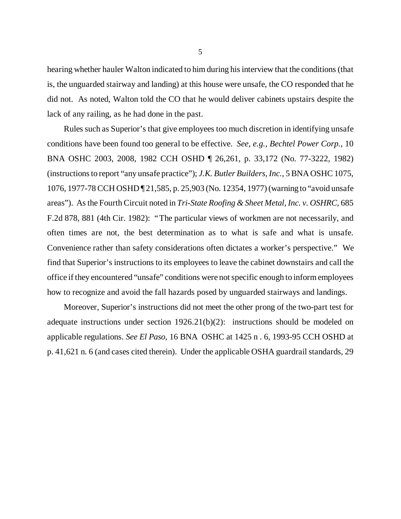hearing whether hauler Walton indicated to him during his interview that the conditions (that is, the unguarded stairway and landing) at this house were unsafe, the CO responded that he did not. As noted, Walton told the CO that he would deliver cabinets upstairs despite the lack of any railing, as he had done in the past.

Rules such as Superior's that give employees too much discretion in identifying unsafe conditions have been found too general to be effective. *See, e.g., Bechtel Power Corp.*, 10 BNA OSHC 2003, 2008, 1982 CCH OSHD ¶ 26,261, p. 33,172 (No. 77-3222, 1982) (instructions to report "any unsafe practice"); *J.K. Butler Builders, Inc.*, 5 BNA OSHC 1075, 1076, 1977-78 CCH OSHD ¶ 21,585, p. 25,903 (No. 12354, 1977) (warning to "avoid unsafe areas"). As the Fourth Circuit noted in *Tri-State Roofing & Sheet Metal, Inc. v. OSHRC,* 685 F.2d 878, 881 (4th Cir. 1982): "The particular views of workmen are not necessarily, and often times are not, the best determination as to what is safe and what is unsafe. Convenience rather than safety considerations often dictates a worker's perspective." We find that Superior's instructions to its employees to leave the cabinet downstairs and call the office if they encountered "unsafe" conditions were not specific enough to inform employees how to recognize and avoid the fall hazards posed by unguarded stairways and landings.

Moreover, Superior's instructions did not meet the other prong of the two-part test for adequate instructions under section 1926.21(b)(2): instructions should be modeled on applicable regulations. *See El Paso*, 16 BNA OSHC at 1425 n . 6, 1993-95 CCH OSHD at p. 41,621 n. 6 (and cases cited therein). Under the applicable OSHA guardrail standards, 29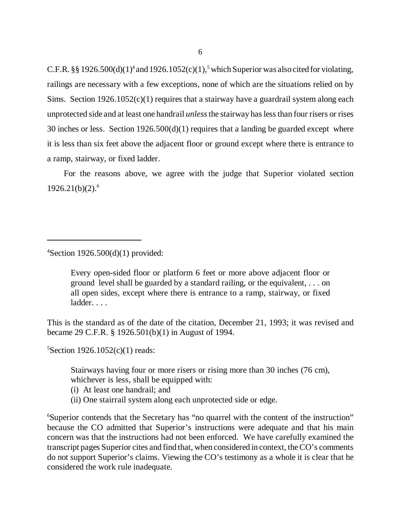C.F.R. §§ 1926.500(d)(1)<sup>4</sup> and 1926.1052(c)(1),<sup>5</sup> which Superior was also cited for violating, railings are necessary with a few exceptions, none of which are the situations relied on by Sims. Section  $1926.1052(c)(1)$  requires that a stairway have a guardrail system along each unprotected side and at least one handrail *unless* the stairway has less than four risers or rises 30 inches or less. Section 1926.500(d)(1) requires that a landing be guarded except where it is less than six feet above the adjacent floor or ground except where there is entrance to a ramp, stairway, or fixed ladder.

For the reasons above, we agree with the judge that Superior violated section  $1926.21(b)(2).<sup>6</sup>$ 

 $4$ Section 1926.500(d)(1) provided:

Every open-sided floor or platform 6 feet or more above adjacent floor or ground level shall be guarded by a standard railing, or the equivalent, . . . on all open sides, except where there is entrance to a ramp, stairway, or fixed ladder. . . .

This is the standard as of the date of the citation, December 21, 1993; it was revised and became 29 C.F.R. § 1926.501(b)(1) in August of 1994.

<sup>5</sup>Section 1926.1052(c)(1) reads:

Stairways having four or more risers or rising more than 30 inches (76 cm), whichever is less, shall be equipped with:

(i) At least one handrail; and

(ii) One stairrail system along each unprotected side or edge.

<sup>6</sup>Superior contends that the Secretary has "no quarrel with the content of the instruction" because the CO admitted that Superior's instructions were adequate and that his main concern was that the instructions had not been enforced. We have carefully examined the transcript pages Superior cites and find that, when considered in context, the CO's comments do not support Superior's claims. Viewing the CO's testimony as a whole it is clear that he considered the work rule inadequate.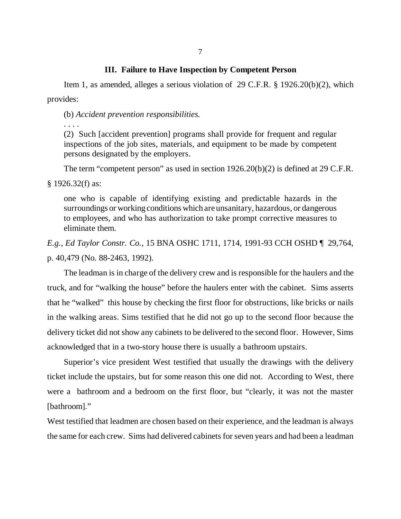# **III. Failure to Have Inspection by Competent Person**

Item 1, as amended, alleges a serious violation of 29 C.F.R. § 1926.20(b)(2), which provides:

(b) *Accident prevention responsibilities.*

. . . . (2) Such [accident prevention] programs shall provide for frequent and regular inspections of the job sites, materials, and equipment to be made by competent persons designated by the employers.

The term "competent person" as used in section 1926.20(b)(2) is defined at 29 C.F.R.

§ 1926.32(f) as:

one who is capable of identifying existing and predictable hazards in the surroundings or working conditions which are unsanitary, hazardous, or dangerous to employees, and who has authorization to take prompt corrective measures to eliminate them.

*E.g., Ed Taylor Constr. Co.*, 15 BNA OSHC 1711, 1714, 1991-93 CCH OSHD ¶ 29,764, p. 40,479 (No. 88-2463, 1992).

The leadman is in charge of the delivery crew and is responsible for the haulers and the truck, and for "walking the house" before the haulers enter with the cabinet. Sims asserts that he "walked" this house by checking the first floor for obstructions, like bricks or nails in the walking areas. Sims testified that he did not go up to the second floor because the delivery ticket did not show any cabinets to be delivered to the second floor. However, Sims acknowledged that in a two-story house there is usually a bathroom upstairs.

Superior's vice president West testified that usually the drawings with the delivery ticket include the upstairs, but for some reason this one did not. According to West, there were a bathroom and a bedroom on the first floor, but "clearly, it was not the master [bathroom]."

West testified that leadmen are chosen based on their experience, and the leadman is always the same for each crew. Sims had delivered cabinets for seven years and had been a leadman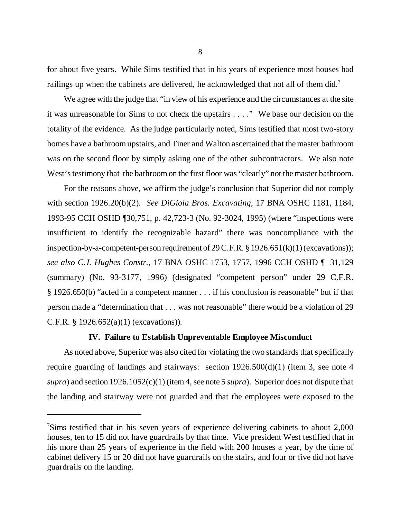for about five years. While Sims testified that in his years of experience most houses had railings up when the cabinets are delivered, he acknowledged that not all of them did.<sup>7</sup>

We agree with the judge that "in view of his experience and the circumstances at the site it was unreasonable for Sims to not check the upstairs . . . ." We base our decision on the totality of the evidence. As the judge particularly noted, Sims testified that most two-story homes have a bathroom upstairs, and Tiner and Walton ascertained that the master bathroom was on the second floor by simply asking one of the other subcontractors. We also note West's testimony that the bathroom on the first floor was "clearly" not the master bathroom.

For the reasons above, we affirm the judge's conclusion that Superior did not comply with section 1926.20(b)(2). *See DiGioia Bros. Excavating*, 17 BNA OSHC 1181, 1184, 1993-95 CCH OSHD ¶30,751, p. 42,723-3 (No. 92-3024, 1995) (where "inspections were insufficient to identify the recognizable hazard" there was noncompliance with the inspection-by-a-competent-person requirement of  $29 \text{ C.F.R.}$  §  $1926.651(k)(1)$  (excavations)); *see also C.J. Hughes Constr.*, 17 BNA OSHC 1753, 1757, 1996 CCH OSHD ¶ 31,129 (summary) (No. 93-3177, 1996) (designated "competent person" under 29 C.F.R. § 1926.650(b) "acted in a competent manner . . . if his conclusion is reasonable" but if that person made a "determination that . . . was not reasonable" there would be a violation of 29 C.F.R. § 1926.652(a)(1) (excavations))*.*

### **IV. Failure to Establish Unpreventable Employee Misconduct**

As noted above, Superior was also cited for violating the two standards that specifically require guarding of landings and stairways: section 1926.500(d)(1) (item 3, see note 4 *supra*) and section 1926.1052(c)(1) (item 4, see note 5 *supra*). Superior does not dispute that the landing and stairway were not guarded and that the employees were exposed to the

<sup>&</sup>lt;sup>7</sup>Sims testified that in his seven years of experience delivering cabinets to about 2,000 houses, ten to 15 did not have guardrails by that time. Vice president West testified that in his more than 25 years of experience in the field with 200 houses a year, by the time of cabinet delivery 15 or 20 did not have guardrails on the stairs, and four or five did not have guardrails on the landing.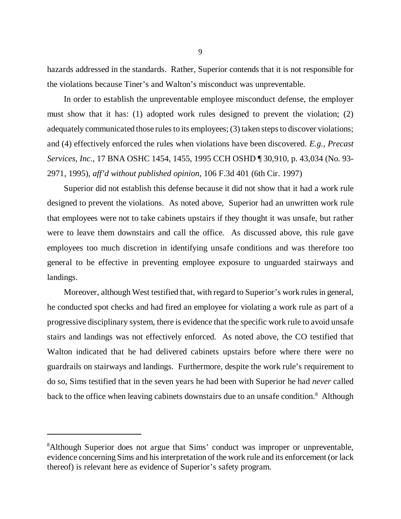hazards addressed in the standards. Rather, Superior contends that it is not responsible for the violations because Tiner's and Walton's misconduct was unpreventable.

In order to establish the unpreventable employee misconduct defense, the employer must show that it has: (1) adopted work rules designed to prevent the violation; (2) adequately communicated those rules to its employees; (3) taken steps to discover violations; and (4) effectively enforced the rules when violations have been discovered. *E.g., Precast Services, Inc.*, 17 BNA OSHC 1454, 1455, 1995 CCH OSHD ¶ 30,910, p. 43,034 (No. 93- 2971, 1995), *aff'd without published opinion*, 106 F.3d 401 (6th Cir. 1997)

Superior did not establish this defense because it did not show that it had a work rule designed to prevent the violations. As noted above, Superior had an unwritten work rule that employees were not to take cabinets upstairs if they thought it was unsafe, but rather were to leave them downstairs and call the office. As discussed above, this rule gave employees too much discretion in identifying unsafe conditions and was therefore too general to be effective in preventing employee exposure to unguarded stairways and landings.

Moreover, although West testified that, with regard to Superior's work rules in general, he conducted spot checks and had fired an employee for violating a work rule as part of a progressive disciplinary system, there is evidence that the specific work rule to avoid unsafe stairs and landings was not effectively enforced. As noted above, the CO testified that Walton indicated that he had delivered cabinets upstairs before where there were no guardrails on stairways and landings. Furthermore, despite the work rule's requirement to do so, Sims testified that in the seven years he had been with Superior he had *never* called back to the office when leaving cabinets downstairs due to an unsafe condition.<sup>8</sup> Although

<sup>&</sup>lt;sup>8</sup>Although Superior does not argue that Sims' conduct was improper or unpreventable, evidence concerning Sims and his interpretation of the work rule and its enforcement (or lack thereof) is relevant here as evidence of Superior's safety program.